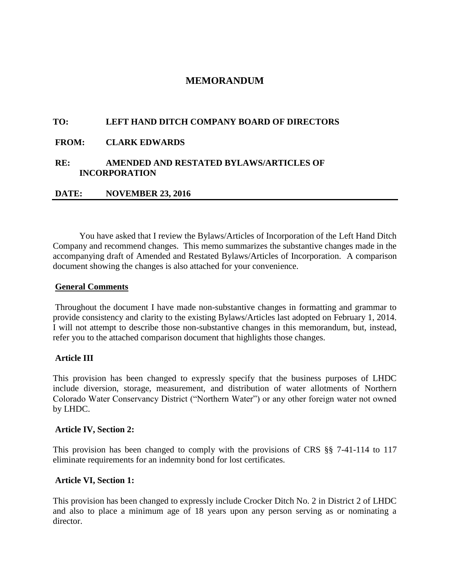# **MEMORANDUM**

## **TO: LEFT HAND DITCH COMPANY BOARD OF DIRECTORS**

### **FROM: CLARK EDWARDS**

## **RE: AMENDED AND RESTATED BYLAWS/ARTICLES OF INCORPORATION**

### **DATE: NOVEMBER 23, 2016**

You have asked that I review the Bylaws/Articles of Incorporation of the Left Hand Ditch Company and recommend changes. This memo summarizes the substantive changes made in the accompanying draft of Amended and Restated Bylaws/Articles of Incorporation. A comparison document showing the changes is also attached for your convenience.

#### **General Comments**

Throughout the document I have made non-substantive changes in formatting and grammar to provide consistency and clarity to the existing Bylaws/Articles last adopted on February 1, 2014. I will not attempt to describe those non-substantive changes in this memorandum, but, instead, refer you to the attached comparison document that highlights those changes.

### **Article III**

This provision has been changed to expressly specify that the business purposes of LHDC include diversion, storage, measurement, and distribution of water allotments of Northern Colorado Water Conservancy District ("Northern Water") or any other foreign water not owned by LHDC.

#### **Article IV, Section 2:**

This provision has been changed to comply with the provisions of CRS §§ 7-41-114 to 117 eliminate requirements for an indemnity bond for lost certificates.

### **Article VI, Section 1:**

This provision has been changed to expressly include Crocker Ditch No. 2 in District 2 of LHDC and also to place a minimum age of 18 years upon any person serving as or nominating a director.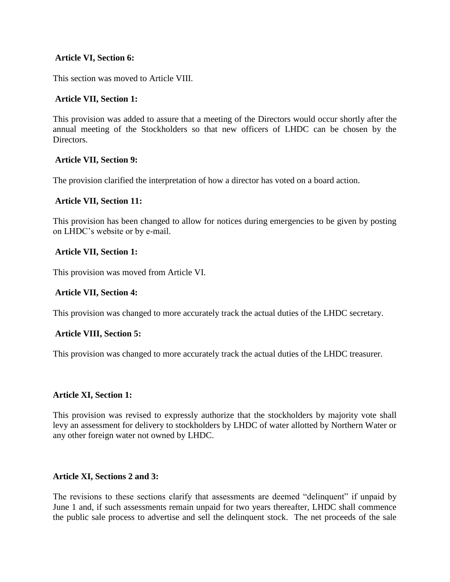# **Article VI, Section 6:**

This section was moved to Article VIII.

# **Article VII, Section 1:**

This provision was added to assure that a meeting of the Directors would occur shortly after the annual meeting of the Stockholders so that new officers of LHDC can be chosen by the Directors.

# **Article VII, Section 9:**

The provision clarified the interpretation of how a director has voted on a board action.

## **Article VII, Section 11:**

This provision has been changed to allow for notices during emergencies to be given by posting on LHDC's website or by e-mail.

## **Article VII, Section 1:**

This provision was moved from Article VI.

## **Article VII, Section 4:**

This provision was changed to more accurately track the actual duties of the LHDC secretary.

# **Article VIII, Section 5:**

This provision was changed to more accurately track the actual duties of the LHDC treasurer.

# **Article XI, Section 1:**

This provision was revised to expressly authorize that the stockholders by majority vote shall levy an assessment for delivery to stockholders by LHDC of water allotted by Northern Water or any other foreign water not owned by LHDC.

# **Article XI, Sections 2 and 3:**

The revisions to these sections clarify that assessments are deemed "delinquent" if unpaid by June 1 and, if such assessments remain unpaid for two years thereafter, LHDC shall commence the public sale process to advertise and sell the delinquent stock. The net proceeds of the sale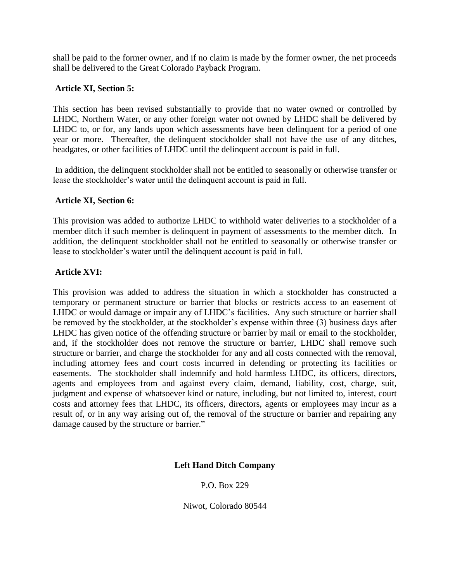shall be paid to the former owner, and if no claim is made by the former owner, the net proceeds shall be delivered to the Great Colorado Payback Program.

# **Article XI, Section 5:**

This section has been revised substantially to provide that no water owned or controlled by LHDC, Northern Water, or any other foreign water not owned by LHDC shall be delivered by LHDC to, or for, any lands upon which assessments have been delinquent for a period of one year or more. Thereafter, the delinquent stockholder shall not have the use of any ditches, headgates, or other facilities of LHDC until the delinquent account is paid in full.

In addition, the delinquent stockholder shall not be entitled to seasonally or otherwise transfer or lease the stockholder's water until the delinquent account is paid in full.

# **Article XI, Section 6:**

This provision was added to authorize LHDC to withhold water deliveries to a stockholder of a member ditch if such member is delinquent in payment of assessments to the member ditch. In addition, the delinquent stockholder shall not be entitled to seasonally or otherwise transfer or lease to stockholder's water until the delinquent account is paid in full.

# **Article XVI:**

This provision was added to address the situation in which a stockholder has constructed a temporary or permanent structure or barrier that blocks or restricts access to an easement of LHDC or would damage or impair any of LHDC's facilities. Any such structure or barrier shall be removed by the stockholder, at the stockholder's expense within three (3) business days after LHDC has given notice of the offending structure or barrier by mail or email to the stockholder, and, if the stockholder does not remove the structure or barrier, LHDC shall remove such structure or barrier, and charge the stockholder for any and all costs connected with the removal, including attorney fees and court costs incurred in defending or protecting its facilities or easements. The stockholder shall indemnify and hold harmless LHDC, its officers, directors, agents and employees from and against every claim, demand, liability, cost, charge, suit, judgment and expense of whatsoever kind or nature, including, but not limited to, interest, court costs and attorney fees that LHDC, its officers, directors, agents or employees may incur as a result of, or in any way arising out of, the removal of the structure or barrier and repairing any damage caused by the structure or barrier."

# **Left Hand Ditch Company**

# P.O. Box 229

Niwot, Colorado 80544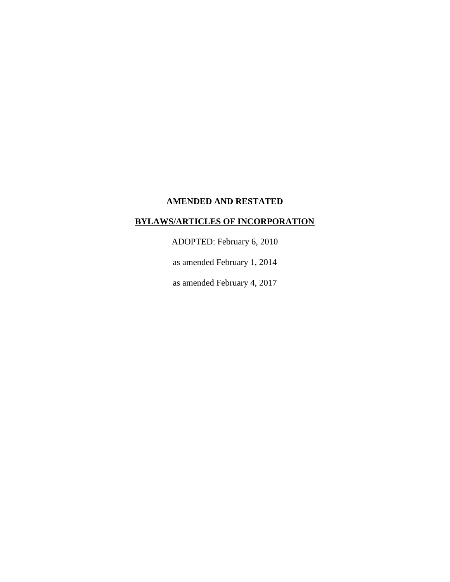## **AMENDED AND RESTATED**

# **BYLAWS/ARTICLES OF INCORPORATION**

ADOPTED: February 6, 2010

as amended February 1, 2014

as amended February 4, 2017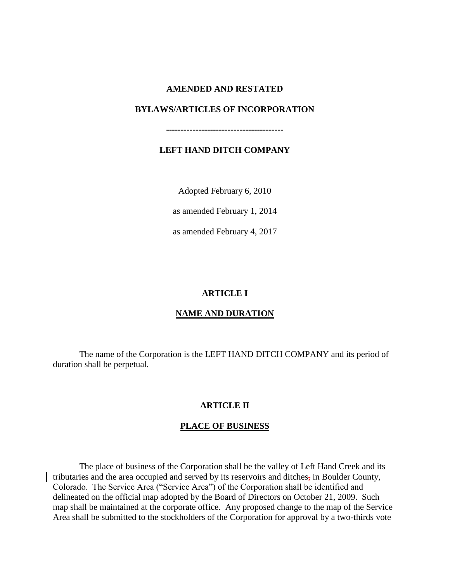### **AMENDED AND RESTATED**

## **BYLAWS/ARTICLES OF INCORPORATION**

**----------------------------------------**

# **LEFT HAND DITCH COMPANY**

Adopted February 6, 2010

as amended February 1, 2014

as amended February 4, 2017

## **ARTICLE I**

# **NAME AND DURATION**

The name of the Corporation is the LEFT HAND DITCH COMPANY and its period of duration shall be perpetual.

### **ARTICLE II**

### **PLACE OF BUSINESS**

The place of business of the Corporation shall be the valley of Left Hand Creek and its tributaries and the area occupied and served by its reservoirs and ditches, in Boulder County, Colorado. The Service Area ("Service Area") of the Corporation shall be identified and delineated on the official map adopted by the Board of Directors on October 21, 2009. Such map shall be maintained at the corporate office. Any proposed change to the map of the Service Area shall be submitted to the stockholders of the Corporation for approval by a two-thirds vote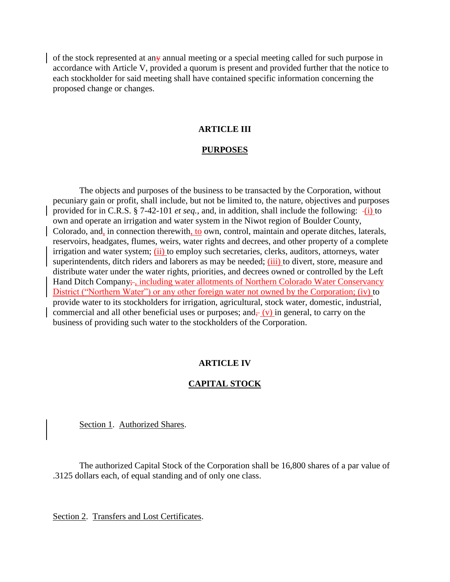of the stock represented at any annual meeting or a special meeting called for such purpose in accordance with Article V, provided a quorum is present and provided further that the notice to each stockholder for said meeting shall have contained specific information concerning the proposed change or changes.

### **ARTICLE III**

#### **PURPOSES**

The objects and purposes of the business to be transacted by the Corporation, without pecuniary gain or profit, shall include, but not be limited to, the nature, objectives and purposes provided for in C.R.S. § 7-42-101 *et seq.*, and, in addition, shall include the following: -(i) to own and operate an irrigation and water system in the Niwot region of Boulder County, Colorado, and, in connection therewith, to own, control, maintain and operate ditches, laterals, reservoirs, headgates, flumes, weirs, water rights and decrees, and other property of a complete irrigation and water system; (ii) to employ such secretaries, clerks, auditors, attorneys, water superintendents, ditch riders and laborers as may be needed; (iii) to divert, store, measure and distribute water under the water rights, priorities, and decrees owned or controlled by the Left Hand Ditch Company; including water allotments of Northern Colorado Water Conservancy District ("Northern Water") or any other foreign water not owned by the Corporation; (iv) to provide water to its stockholders for irrigation, agricultural, stock water, domestic, industrial, commercial and all other beneficial uses or purposes; and $\frac{1}{2}(v)$  in general, to carry on the business of providing such water to the stockholders of the Corporation.

### **ARTICLE IV**

### **CAPITAL STOCK**

Section 1. Authorized Shares.

The authorized Capital Stock of the Corporation shall be 16,800 shares of a par value of .3125 dollars each, of equal standing and of only one class.

Section 2. Transfers and Lost Certificates.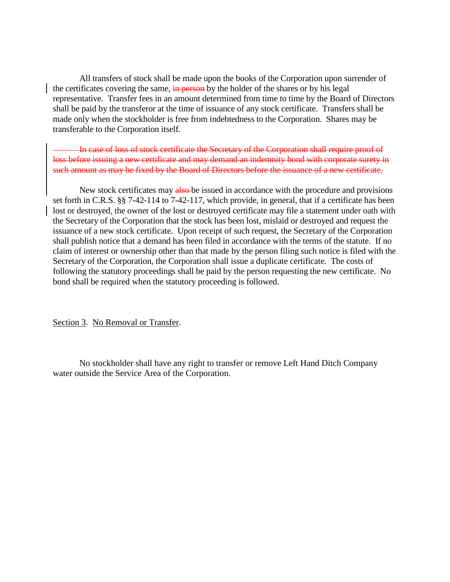All transfers of stock shall be made upon the books of the Corporation upon surrender of the certificates covering the same, in person by the holder of the shares or by his legal representative. Transfer fees in an amount determined from time to time by the Board of Directors shall be paid by the transferor at the time of issuance of any stock certificate. Transfers shall be made only when the stockholder is free from indebtedness to the Corporation. Shares may be transferable to the Corporation itself.

In case of loss of stock certificate the Secretary of the Corporation shall require proof of loss before issuing a new certificate and may demand an indemnity bond with corporate surety in such amount as may be fixed by the Board of Directors before the issuance of a new certificate.

New stock certificates may also be issued in accordance with the procedure and provisions set forth in C.R.S. §§ 7-42-114 to 7-42-117, which provide, in general, that if a certificate has been lost or destroyed, the owner of the lost or destroyed certificate may file a statement under oath with the Secretary of the Corporation that the stock has been lost, mislaid or destroyed and request the issuance of a new stock certificate. Upon receipt of such request, the Secretary of the Corporation shall publish notice that a demand has been filed in accordance with the terms of the statute. If no claim of interest or ownership other than that made by the person filing such notice is filed with the Secretary of the Corporation, the Corporation shall issue a duplicate certificate. The costs of following the statutory proceedings shall be paid by the person requesting the new certificate. No bond shall be required when the statutory proceeding is followed.

Section 3. No Removal or Transfer.

No stockholder shall have any right to transfer or remove Left Hand Ditch Company water outside the Service Area of the Corporation.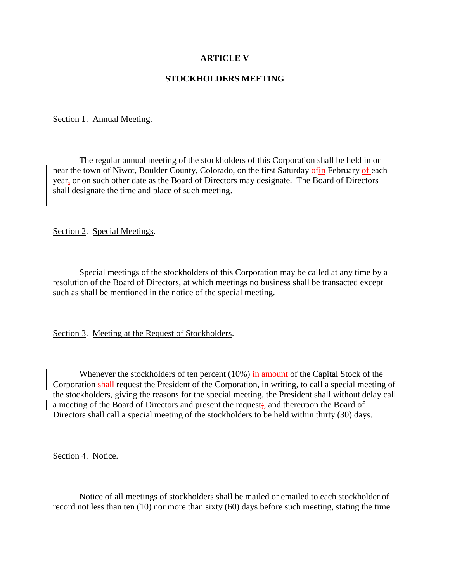# **ARTICLE V**

## **STOCKHOLDERS MEETING**

#### Section 1. Annual Meeting.

The regular annual meeting of the stockholders of this Corporation shall be held in or near the town of Niwot, Boulder County, Colorado, on the first Saturday of February of each year, or on such other date as the Board of Directors may designate. The Board of Directors shall designate the time and place of such meeting.

Section 2. Special Meetings.

Special meetings of the stockholders of this Corporation may be called at any time by a resolution of the Board of Directors, at which meetings no business shall be transacted except such as shall be mentioned in the notice of the special meeting.

Section 3. Meeting at the Request of Stockholders.

Whenever the stockholders of ten percent  $(10\%)$  in amount of the Capital Stock of the Corporation shall request the President of the Corporation, in writing, to call a special meeting of the stockholders, giving the reasons for the special meeting, the President shall without delay call a meeting of the Board of Directors and present the request;, and thereupon the Board of Directors shall call a special meeting of the stockholders to be held within thirty (30) days.

Section 4. Notice.

Notice of all meetings of stockholders shall be mailed or emailed to each stockholder of record not less than ten (10) nor more than sixty (60) days before such meeting, stating the time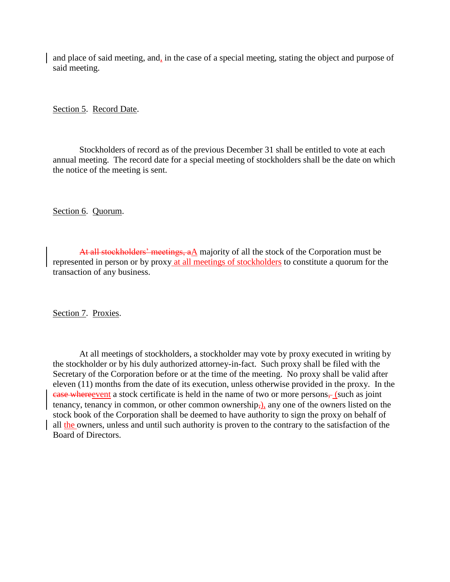and place of said meeting, and, in the case of a special meeting, stating the object and purpose of said meeting.

Section 5. Record Date.

Stockholders of record as of the previous December 31 shall be entitled to vote at each annual meeting. The record date for a special meeting of stockholders shall be the date on which the notice of the meeting is sent.

Section 6. Quorum.

At all stockholders' meetings, aA majority of all the stock of the Corporation must be represented in person or by proxy at all meetings of stockholders to constitute a quorum for the transaction of any business.

Section 7. Proxies.

At all meetings of stockholders, a stockholder may vote by proxy executed in writing by the stockholder or by his duly authorized attorney-in-fact. Such proxy shall be filed with the Secretary of the Corporation before or at the time of the meeting. No proxy shall be valid after eleven (11) months from the date of its execution, unless otherwise provided in the proxy. In the ease whereevent a stock certificate is held in the name of two or more persons, (such as joint tenancy, tenancy in common, or other common ownership,), any one of the owners listed on the stock book of the Corporation shall be deemed to have authority to sign the proxy on behalf of all the owners, unless and until such authority is proven to the contrary to the satisfaction of the Board of Directors.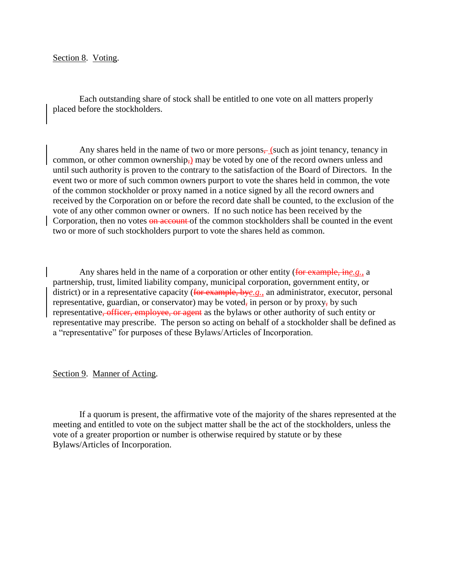Section 8. Voting.

Each outstanding share of stock shall be entitled to one vote on all matters properly placed before the stockholders.

Any shares held in the name of two or more persons $\frac{1}{2}$  (such as joint tenancy, tenancy in common, or other common ownership,) may be voted by one of the record owners unless and until such authority is proven to the contrary to the satisfaction of the Board of Directors. In the event two or more of such common owners purport to vote the shares held in common, the vote of the common stockholder or proxy named in a notice signed by all the record owners and received by the Corporation on or before the record date shall be counted, to the exclusion of the vote of any other common owner or owners. If no such notice has been received by the Corporation, then no votes on account of the common stockholders shall be counted in the event two or more of such stockholders purport to vote the shares held as common.

Any shares held in the name of a corporation or other entity (for example, in*e.g.*, a partnership, trust, limited liability company, municipal corporation, government entity, or district) or in a representative capacity (for example, bye.g., an administrator, executor, personal representative, guardian, or conservator) may be voted, in person or by proxy, by such representative, officer, employee, or agent as the bylaws or other authority of such entity or representative may prescribe. The person so acting on behalf of a stockholder shall be defined as a "representative" for purposes of these Bylaws/Articles of Incorporation.

### Section 9. Manner of Acting.

If a quorum is present, the affirmative vote of the majority of the shares represented at the meeting and entitled to vote on the subject matter shall be the act of the stockholders, unless the vote of a greater proportion or number is otherwise required by statute or by these Bylaws/Articles of Incorporation.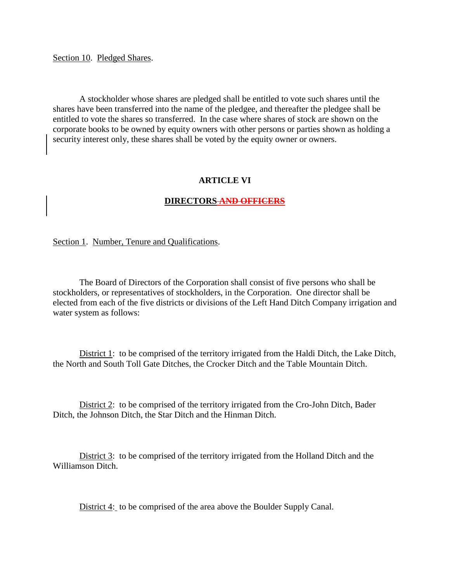Section 10. Pledged Shares.

A stockholder whose shares are pledged shall be entitled to vote such shares until the shares have been transferred into the name of the pledgee, and thereafter the pledgee shall be entitled to vote the shares so transferred. In the case where shares of stock are shown on the corporate books to be owned by equity owners with other persons or parties shown as holding a security interest only, these shares shall be voted by the equity owner or owners.

### **ARTICLE VI**

### **DIRECTORS AND OFFICERS**

Section 1. Number, Tenure and Qualifications.

The Board of Directors of the Corporation shall consist of five persons who shall be stockholders, or representatives of stockholders, in the Corporation. One director shall be elected from each of the five districts or divisions of the Left Hand Ditch Company irrigation and water system as follows:

District 1: to be comprised of the territory irrigated from the Haldi Ditch, the Lake Ditch, the North and South Toll Gate Ditches, the Crocker Ditch and the Table Mountain Ditch.

District 2: to be comprised of the territory irrigated from the Cro-John Ditch, Bader Ditch, the Johnson Ditch, the Star Ditch and the Hinman Ditch.

District 3: to be comprised of the territory irrigated from the Holland Ditch and the Williamson Ditch.

District 4: to be comprised of the area above the Boulder Supply Canal.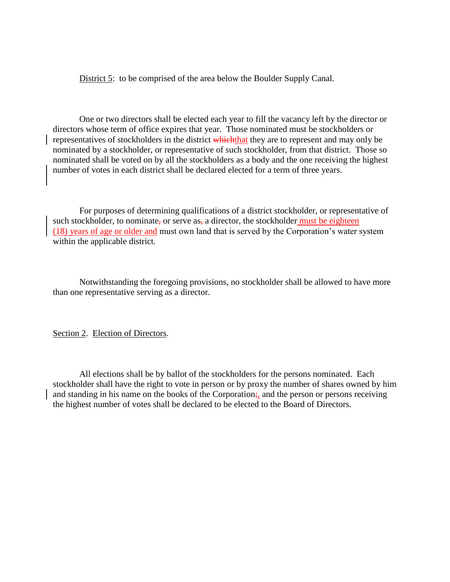District 5: to be comprised of the area below the Boulder Supply Canal.

One or two directors shall be elected each year to fill the vacancy left by the director or directors whose term of office expires that year. Those nominated must be stockholders or representatives of stockholders in the district which they are to represent and may only be nominated by a stockholder, or representative of such stockholder, from that district. Those so nominated shall be voted on by all the stockholders as a body and the one receiving the highest number of votes in each district shall be declared elected for a term of three years.

For purposes of determining qualifications of a district stockholder, or representative of such stockholder, to nominate, or serve as, a director, the stockholder must be eighteen (18) years of age or older and must own land that is served by the Corporation's water system within the applicable district.

Notwithstanding the foregoing provisions, no stockholder shall be allowed to have more than one representative serving as a director.

Section 2. Election of Directors.

All elections shall be by ballot of the stockholders for the persons nominated. Each stockholder shall have the right to vote in person or by proxy the number of shares owned by him and standing in his name on the books of the Corporation; and the person or persons receiving the highest number of votes shall be declared to be elected to the Board of Directors.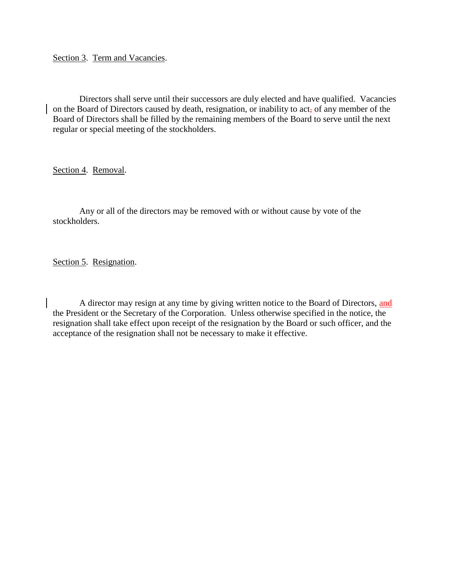Section 3. Term and Vacancies.

Directors shall serve until their successors are duly elected and have qualified. Vacancies on the Board of Directors caused by death, resignation, or inability to act, of any member of the Board of Directors shall be filled by the remaining members of the Board to serve until the next regular or special meeting of the stockholders.

Section 4. Removal.

Any or all of the directors may be removed with or without cause by vote of the stockholders.

Section 5. Resignation.

A director may resign at any time by giving written notice to the Board of Directors, and the President or the Secretary of the Corporation. Unless otherwise specified in the notice, the resignation shall take effect upon receipt of the resignation by the Board or such officer, and the acceptance of the resignation shall not be necessary to make it effective.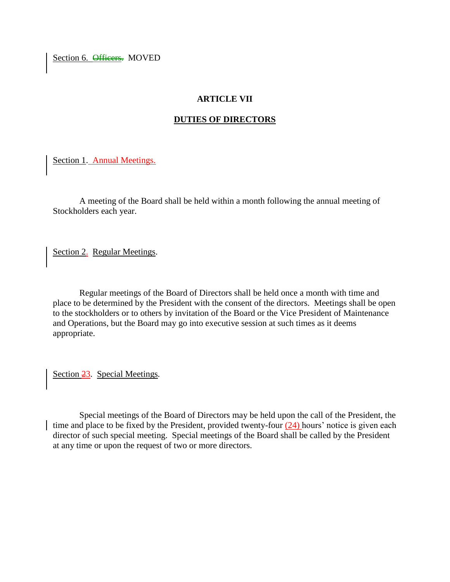Section 6. **Officers**. MOVED

# **ARTICLE VII**

# **DUTIES OF DIRECTORS**

Section 1. Annual Meetings.

A meeting of the Board shall be held within a month following the annual meeting of Stockholders each year.

Section 2. Regular Meetings.

Regular meetings of the Board of Directors shall be held once a month with time and place to be determined by the President with the consent of the directors. Meetings shall be open to the stockholders or to others by invitation of the Board or the Vice President of Maintenance and Operations, but the Board may go into executive session at such times as it deems appropriate.

Section 23. Special Meetings*.*

Special meetings of the Board of Directors may be held upon the call of the President, the time and place to be fixed by the President, provided twenty-four  $(24)$  hours' notice is given each director of such special meeting. Special meetings of the Board shall be called by the President at any time or upon the request of two or more directors.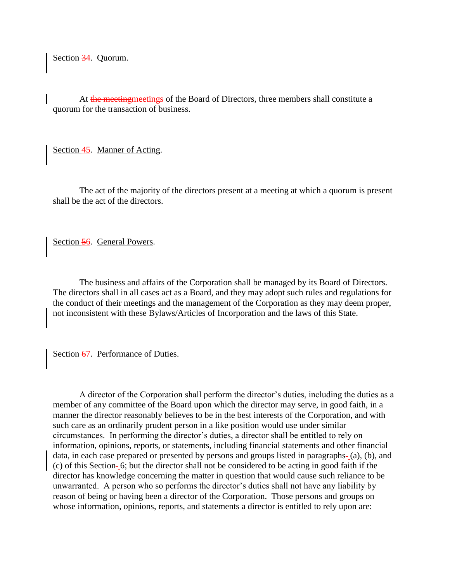Section 34. Quorum.

At the meetingmeetings of the Board of Directors, three members shall constitute a quorum for the transaction of business.

Section 45. Manner of Acting.

The act of the majority of the directors present at a meeting at which a quorum is present shall be the act of the directors.

Section 56. General Powers.

The business and affairs of the Corporation shall be managed by its Board of Directors. The directors shall in all cases act as a Board, and they may adopt such rules and regulations for the conduct of their meetings and the management of the Corporation as they may deem proper, not inconsistent with these Bylaws/Articles of Incorporation and the laws of this State.

Section 67. Performance of Duties.

A director of the Corporation shall perform the director's duties, including the duties as a member of any committee of the Board upon which the director may serve, in good faith, in a manner the director reasonably believes to be in the best interests of the Corporation, and with such care as an ordinarily prudent person in a like position would use under similar circumstances. In performing the director's duties, a director shall be entitled to rely on information, opinions, reports, or statements, including financial statements and other financial data, in each case prepared or presented by persons and groups listed in paragraphs-(a), (b), and (c) of this Section 6; but the director shall not be considered to be acting in good faith if the director has knowledge concerning the matter in question that would cause such reliance to be unwarranted. A person who so performs the director's duties shall not have any liability by reason of being or having been a director of the Corporation. Those persons and groups on whose information, opinions, reports, and statements a director is entitled to rely upon are: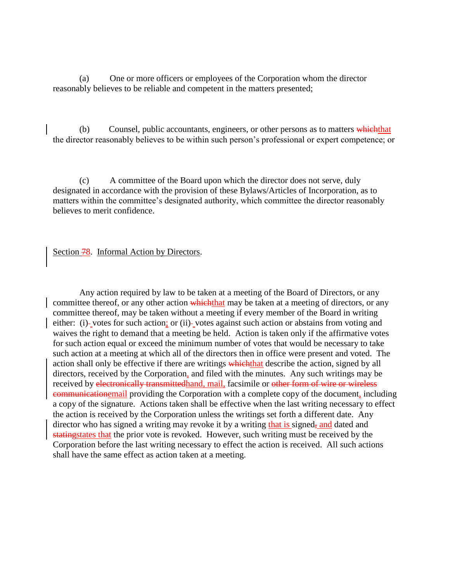(a) One or more officers or employees of the Corporation whom the director reasonably believes to be reliable and competent in the matters presented;

(b) Counsel, public accountants, engineers, or other persons as to matters which that the director reasonably believes to be within such person's professional or expert competence; or

(c) A committee of the Board upon which the director does not serve, duly designated in accordance with the provision of these Bylaws/Articles of Incorporation, as to matters within the committee's designated authority, which committee the director reasonably believes to merit confidence.

Section 78. Informal Action by Directors.

Any action required by law to be taken at a meeting of the Board of Directors, or any committee thereof, or any other action which that may be taken at a meeting of directors, or any committee thereof, may be taken without a meeting if every member of the Board in writing either: (i)-votes for such action; or (ii)-votes against such action or abstains from voting and waives the right to demand that a meeting be held. Action is taken only if the affirmative votes for such action equal or exceed the minimum number of votes that would be necessary to take such action at a meeting at which all of the directors then in office were present and voted. The action shall only be effective if there are writings which that describe the action, signed by all directors, received by the Corporation, and filed with the minutes. Any such writings may be received by electronically transmittedhand, mail, facsimile or other form of wire or wireless communicationemail providing the Corporation with a complete copy of the document, including a copy of the signature. Actions taken shall be effective when the last writing necessary to effect the action is received by the Corporation unless the writings set forth a different date. Any director who has signed a writing may revoke it by a writing that is signed, and dated and statingstates that the prior vote is revoked. However, such writing must be received by the Corporation before the last writing necessary to effect the action is received. All such actions shall have the same effect as action taken at a meeting.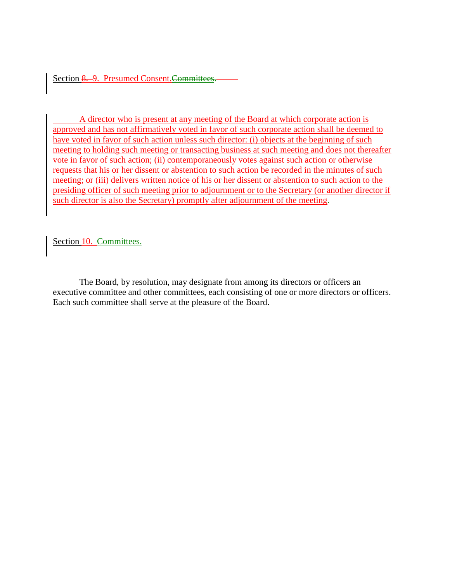Section 8. 9. Presumed Consent. Committees.

A director who is present at any meeting of the Board at which corporate action is approved and has not affirmatively voted in favor of such corporate action shall be deemed to have voted in favor of such action unless such director: (i) objects at the beginning of such meeting to holding such meeting or transacting business at such meeting and does not thereafter vote in favor of such action; (ii) contemporaneously votes against such action or otherwise requests that his or her dissent or abstention to such action be recorded in the minutes of such meeting; or (iii) delivers written notice of his or her dissent or abstention to such action to the presiding officer of such meeting prior to adjournment or to the Secretary (or another director if such director is also the Secretary) promptly after adjournment of the meeting.

Section 10. Committees.

The Board, by resolution, may designate from among its directors or officers an executive committee and other committees, each consisting of one or more directors or officers. Each such committee shall serve at the pleasure of the Board.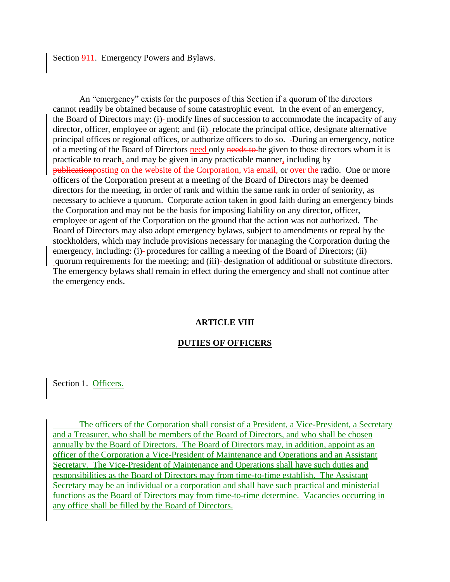#### Section 911. Emergency Powers and Bylaws.

An "emergency" exists for the purposes of this Section if a quorum of the directors cannot readily be obtained because of some catastrophic event. In the event of an emergency, the Board of Directors may: (i) modify lines of succession to accommodate the incapacity of any director, officer, employee or agent; and (ii)-relocate the principal office, designate alternative principal offices or regional offices, or authorize officers to do so. During an emergency, notice of a meeting of the Board of Directors need only needs to be given to those directors whom it is practicable to reach, and may be given in any practicable manner, including by publicationposting on the website of the Corporation, via email, or over the radio. One or more officers of the Corporation present at a meeting of the Board of Directors may be deemed directors for the meeting, in order of rank and within the same rank in order of seniority, as necessary to achieve a quorum. Corporate action taken in good faith during an emergency binds the Corporation and may not be the basis for imposing liability on any director, officer, employee or agent of the Corporation on the ground that the action was not authorized. The Board of Directors may also adopt emergency bylaws, subject to amendments or repeal by the stockholders, which may include provisions necessary for managing the Corporation during the emergency, including: (i)- procedures for calling a meeting of the Board of Directors; (ii) quorum requirements for the meeting; and (iii) designation of additional or substitute directors. The emergency bylaws shall remain in effect during the emergency and shall not continue after the emergency ends.

#### **ARTICLE VIII**

#### **DUTIES OF OFFICERS**

Section 1. Officers.

The officers of the Corporation shall consist of a President, a Vice-President, a Secretary and a Treasurer, who shall be members of the Board of Directors, and who shall be chosen annually by the Board of Directors. The Board of Directors may, in addition, appoint as an officer of the Corporation a Vice-President of Maintenance and Operations and an Assistant Secretary. The Vice-President of Maintenance and Operations shall have such duties and responsibilities as the Board of Directors may from time-to-time establish. The Assistant Secretary may be an individual or a corporation and shall have such practical and ministerial functions as the Board of Directors may from time-to-time determine. Vacancies occurring in any office shall be filled by the Board of Directors.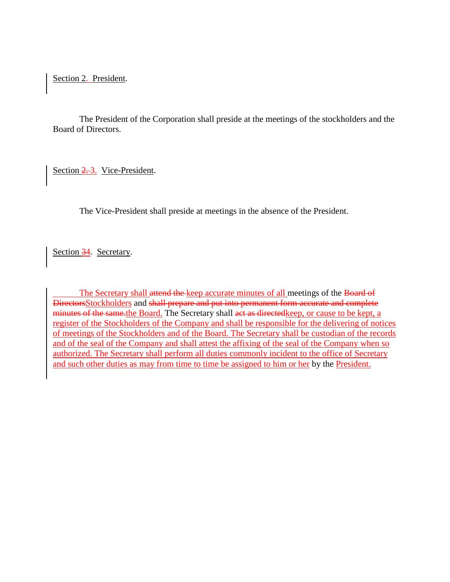Section 2. President.

The President of the Corporation shall preside at the meetings of the stockholders and the Board of Directors.

Section 2.3. Vice-President.

The Vice-President shall preside at meetings in the absence of the President.

Section 34. Secretary.

The Secretary shall attend the keep accurate minutes of all meetings of the Board of DirectorsStockholders and shall prepare and put into permanent form accurate and complete minutes of the same.the Board. The Secretary shall act as directed keep, or cause to be kept, a register of the Stockholders of the Company and shall be responsible for the delivering of notices of meetings of the Stockholders and of the Board. The Secretary shall be custodian of the records and of the seal of the Company and shall attest the affixing of the seal of the Company when so authorized. The Secretary shall perform all duties commonly incident to the office of Secretary and such other duties as may from time to time be assigned to him or her by the President.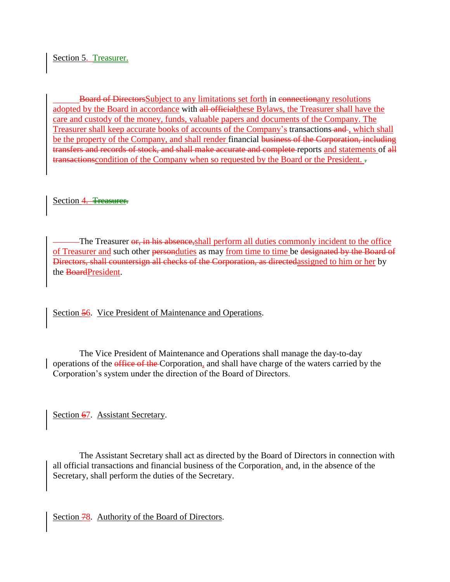Section 5. Treasurer.

Board of DirectorsSubject to any limitations set forth in connectionany resolutions adopted by the Board in accordance with all officialthese Bylaws, the Treasurer shall have the care and custody of the money, funds, valuable papers and documents of the Company. The Treasurer shall keep accurate books of accounts of the Company's transactions and , which shall be the property of the Company, and shall render financial business of the Corporation, including transfers and records of stock, and shall make accurate and complete reports and statements of all transactions condition of the Company when so requested by the Board or the President.

Section 4. Treasurer.

The Treasurer or, in his absence, shall perform all duties commonly incident to the office of Treasurer and such other personduties as may from time to time be designated by the Board of Directors, shall countersign all checks of the Corporation, as directedassigned to him or her by the BoardPresident.

Section 56. Vice President of Maintenance and Operations.

The Vice President of Maintenance and Operations shall manage the day-to-day operations of the office of the Corporation, and shall have charge of the waters carried by the Corporation's system under the direction of the Board of Directors.

Section 67. Assistant Secretary.

The Assistant Secretary shall act as directed by the Board of Directors in connection with all official transactions and financial business of the Corporation, and, in the absence of the Secretary, shall perform the duties of the Secretary.

Section 78. Authority of the Board of Directors.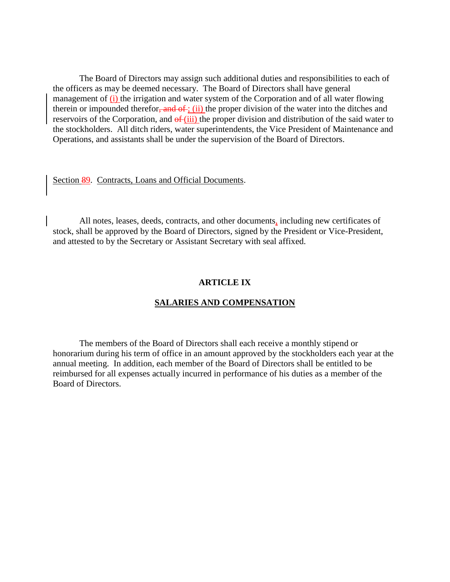The Board of Directors may assign such additional duties and responsibilities to each of the officers as may be deemed necessary. The Board of Directors shall have general management of (i) the irrigation and water system of the Corporation and of all water flowing therein or impounded therefor, and  $\sigma f$ ; (ii) the proper division of the water into the ditches and reservoirs of the Corporation, and  $\theta f(iii)$  the proper division and distribution of the said water to the stockholders. All ditch riders, water superintendents, the Vice President of Maintenance and Operations, and assistants shall be under the supervision of the Board of Directors.

# Section 89. Contracts, Loans and Official Documents.

All notes, leases, deeds, contracts, and other documents, including new certificates of stock, shall be approved by the Board of Directors, signed by the President or Vice-President, and attested to by the Secretary or Assistant Secretary with seal affixed.

### **ARTICLE IX**

## **SALARIES AND COMPENSATION**

The members of the Board of Directors shall each receive a monthly stipend or honorarium during his term of office in an amount approved by the stockholders each year at the annual meeting. In addition, each member of the Board of Directors shall be entitled to be reimbursed for all expenses actually incurred in performance of his duties as a member of the Board of Directors.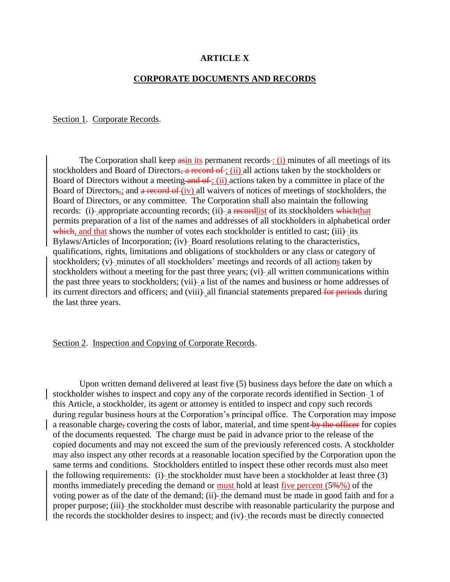#### **ARTICLE X**

### **CORPORATE DOCUMENTS AND RECORDS**

### Section 1. Corporate Records.

The Corporation shall keep asin its permanent records : (i) minutes of all meetings of its stockholders and Board of Directors, a record of ; (ii) all actions taken by the stockholders or Board of Directors without a meeting and of ; (ii) actions taken by a committee in place of the Board of Directors,; and  $\alpha$  record of (iv) all waivers of notices of meetings of stockholders, the Board of Directors, or any committee. The Corporation shall also maintain the following records: (i)- appropriate accounting records; (ii)- a recordlist of its stockholders which that permits preparation of a list of the names and addresses of all stockholders in alphabetical order which, and that shows the number of votes each stockholder is entitled to cast; (iii)- its Bylaws/Articles of Incorporation; (iv) Board resolutions relating to the characteristics, qualifications, rights, limitations and obligations of stockholders or any class or category of stockholders; (v) minutes of all stockholders' meetings and records of all actions taken by stockholders without a meeting for the past three years; (vi)- all written communications within the past three years to stockholders; (vii)- a list of the names and business or home addresses of its current directors and officers; and (viii)- all financial statements prepared for periods during the last three years.

#### Section 2. Inspection and Copying of Corporate Records.

Upon written demand delivered at least five (5) business days before the date on which a stockholder wishes to inspect and copy any of the corporate records identified in Section -1 of this Article, a stockholder, its agent or attorney is entitled to inspect and copy such records during regular business hours at the Corporation's principal office. The Corporation may impose a reasonable charge, covering the costs of labor, material, and time spent by the officer for copies of the documents requested. The charge must be paid in advance prior to the release of the copied documents and may not exceed the sum of the previously referenced costs. A stockholder may also inspect any other records at a reasonable location specified by the Corporation upon the same terms and conditions. Stockholders entitled to inspect these other records must also meet the following requirements: (i)-the stockholder must have been a stockholder at least three (3) months immediately preceding the demand or must hold at least five percent (5%%) of the voting power as of the date of the demand; (ii)- the demand must be made in good faith and for a proper purpose; (iii)- the stockholder must describe with reasonable particularity the purpose and the records the stockholder desires to inspect; and (iv)-the records must be directly connected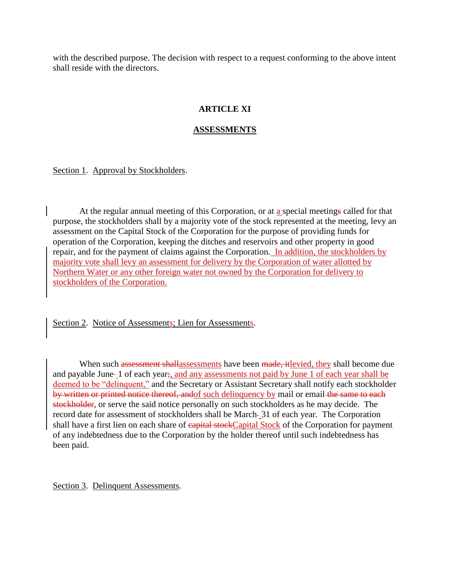with the described purpose. The decision with respect to a request conforming to the above intent shall reside with the directors.

# **ARTICLE XI**

# **ASSESSMENTS**

Section 1. Approval by Stockholders.

At the regular annual meeting of this Corporation, or at a special meetings called for that purpose, the stockholders shall by a majority vote of the stock represented at the meeting, levy an assessment on the Capital Stock of the Corporation for the purpose of providing funds for operation of the Corporation, keeping the ditches and reservoirs and other property in good repair, and for the payment of claims against the Corporation. In addition, the stockholders by majority vote shall levy an assessment for delivery by the Corporation of water allotted by Northern Water or any other foreign water not owned by the Corporation for delivery to stockholders of the Corporation.

Section 2. Notice of Assessments; Lien for Assessments.

When such assessment shallassessments have been made, it levied, they shall become due and payable June 1 of each year;, and any assessments not paid by June 1 of each year shall be deemed to be "delinquent," and the Secretary or Assistant Secretary shall notify each stockholder by written or printed notice thereof, and of such delinquency by mail or email the same to each stockholder, or serve the said notice personally on such stockholders as he may decide. The record date for assessment of stockholders shall be March-31 of each year. The Corporation shall have a first lien on each share of **capital stock**Capital Stock of the Corporation for payment of any indebtedness due to the Corporation by the holder thereof until such indebtedness has been paid.

Section 3. Delinquent Assessments.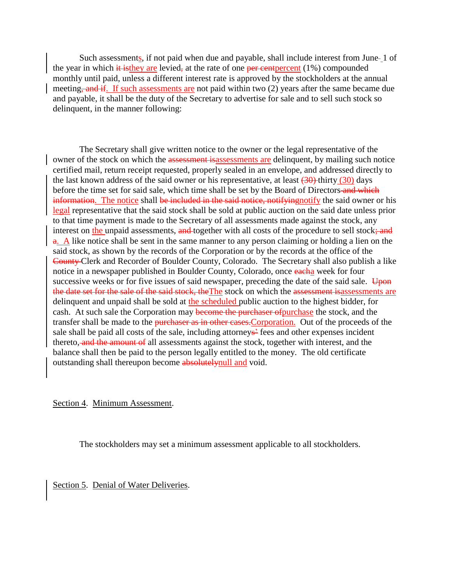Such assessments, if not paid when due and payable, shall include interest from June-1 of the year in which it is they are levied, at the rate of one per cent percent  $(1%)$  compounded monthly until paid, unless a different interest rate is approved by the stockholders at the annual meeting, and if. If such assessments are not paid within two (2) years after the same became due and payable, it shall be the duty of the Secretary to advertise for sale and to sell such stock so delinquent, in the manner following:

The Secretary shall give written notice to the owner or the legal representative of the owner of the stock on which the assessment is assessments are delinquent, by mailing such notice certified mail, return receipt requested, properly sealed in an envelope, and addressed directly to the last known address of the said owner or his representative, at least  $(30)$ -thirty  $(30)$  days before the time set for said sale, which time shall be set by the Board of Directors-and which information. The notice shall be included in the said notice, notifying notify the said owner or his legal representative that the said stock shall be sold at public auction on the said date unless prior to that time payment is made to the Secretary of all assessments made against the stock, any interest on the unpaid assessments, and together with all costs of the procedure to sell stock; and a. A like notice shall be sent in the same manner to any person claiming or holding a lien on the said stock, as shown by the records of the Corporation or by the records at the office of the County Clerk and Recorder of Boulder County, Colorado. The Secretary shall also publish a like notice in a newspaper published in Boulder County, Colorado, once eacha week for four successive weeks or for five issues of said newspaper, preceding the date of the said sale.  $\overline{Upon}$ the date set for the sale of the said stock, the The stock on which the assessment is assessments are delinquent and unpaid shall be sold at the scheduled public auction to the highest bidder, for cash. At such sale the Corporation may become the purchaser of purchase the stock, and the transfer shall be made to the purchaser as in other cases. Corporation. Out of the proceeds of the sale shall be paid all costs of the sale, including attorneys<sup>2</sup> fees and other expenses incident thereto, and the amount of all assessments against the stock, together with interest, and the balance shall then be paid to the person legally entitled to the money. The old certificate outstanding shall thereupon become absolutely null and void.

Section 4. Minimum Assessment.

The stockholders may set a minimum assessment applicable to all stockholders.

Section 5. Denial of Water Deliveries.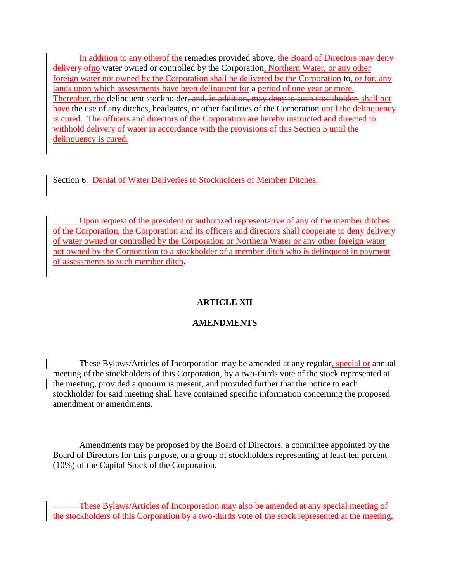In addition to any otherof the remedies provided above, the Board of Directors may deny delivery of no water owned or controlled by the Corporation, Northern Water, or any other foreign water not owned by the Corporation shall be delivered by the Corporation to, or for, any lands upon which assessments have been delinquent for a period of one year or more. Thereafter, the delinquent stockholder<del>, and, in addition, may deny to such stockholder</del> shall not have the use of any ditches, headgates, or other facilities of the Corporation until the delinquency is cured. The officers and directors of the Corporation are hereby instructed and directed to withhold delivery of water in accordance with the provisions of this Section 5 until the delinquency is cured.

Section 6. Denial of Water Deliveries to Stockholders of Member Ditches.

Upon request of the president or authorized representative of any of the member ditches of the Corporation, the Corporation and its officers and directors shall cooperate to deny delivery of water owned or controlled by the Corporation or Northern Water or any other foreign water not owned by the Corporation to a stockholder of a member ditch who is delinquent in payment of assessments to such member ditch.

# **ARTICLE XII**

# **AMENDMENTS**

These Bylaws/Articles of Incorporation may be amended at any regular, special or annual meeting of the stockholders of this Corporation, by a two-thirds vote of the stock represented at the meeting, provided a quorum is present, and provided further that the notice to each stockholder for said meeting shall have contained specific information concerning the proposed amendment or amendments.

Amendments may be proposed by the Board of Directors, a committee appointed by the Board of Directors for this purpose, or a group of stockholders representing at least ten percent (10%) of the Capital Stock of the Corporation.

These Bylaws/Articles of Incorporation may also be amended at any special meeting of the stockholders of this Corporation by a two-thirds vote of the stock represented at the meeting,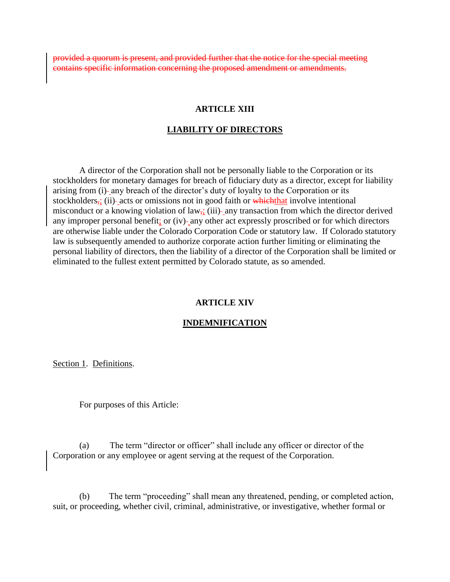provided a quorum is present, and provided further that the notice for the special meeting Fic information concerning the proposed amendment or amendments.

### **ARTICLE XIII**

#### **LIABILITY OF DIRECTORS**

A director of the Corporation shall not be personally liable to the Corporation or its stockholders for monetary damages for breach of fiduciary duty as a director, except for liability arising from (i) any breach of the director's duty of loyalty to the Corporation or its stockholders,; (ii)- acts or omissions not in good faith or which that involve intentional misconduct or a knowing violation of law<sub> $\vec{x}$ </sub>, (iii)- any transaction from which the director derived any improper personal benefit; or (iv)- any other act expressly proscribed or for which directors are otherwise liable under the Colorado Corporation Code or statutory law. If Colorado statutory law is subsequently amended to authorize corporate action further limiting or eliminating the personal liability of directors, then the liability of a director of the Corporation shall be limited or eliminated to the fullest extent permitted by Colorado statute, as so amended.

#### **ARTICLE XIV**

#### **INDEMNIFICATION**

Section 1. Definitions.

For purposes of this Article:

(a) The term "director or officer" shall include any officer or director of the Corporation or any employee or agent serving at the request of the Corporation.

(b) The term "proceeding" shall mean any threatened, pending, or completed action, suit, or proceeding, whether civil, criminal, administrative, or investigative, whether formal or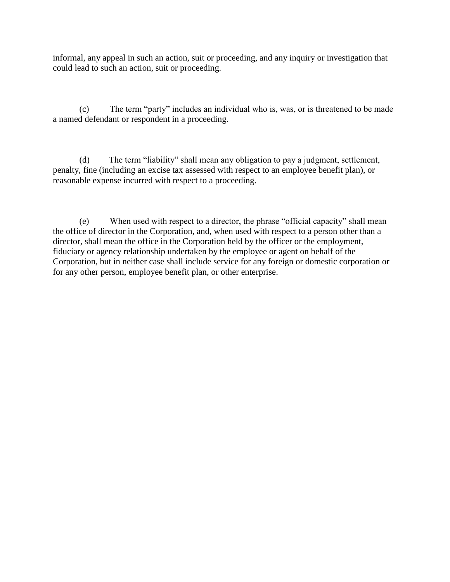informal, any appeal in such an action, suit or proceeding, and any inquiry or investigation that could lead to such an action, suit or proceeding.

(c) The term "party" includes an individual who is, was, or is threatened to be made a named defendant or respondent in a proceeding.

(d) The term "liability" shall mean any obligation to pay a judgment, settlement, penalty, fine (including an excise tax assessed with respect to an employee benefit plan), or reasonable expense incurred with respect to a proceeding.

(e) When used with respect to a director, the phrase "official capacity" shall mean the office of director in the Corporation, and, when used with respect to a person other than a director, shall mean the office in the Corporation held by the officer or the employment, fiduciary or agency relationship undertaken by the employee or agent on behalf of the Corporation, but in neither case shall include service for any foreign or domestic corporation or for any other person, employee benefit plan, or other enterprise.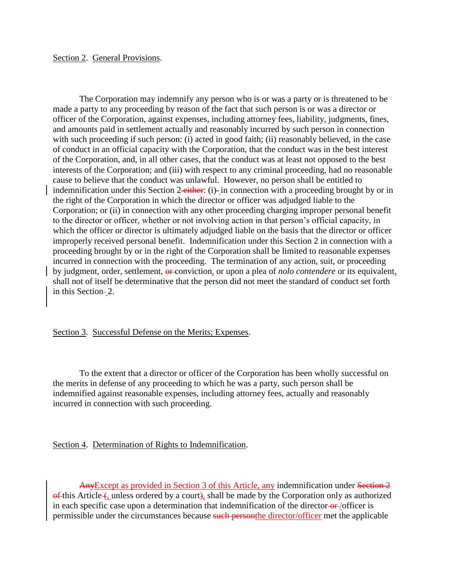## Section 2. General Provisions.

The Corporation may indemnify any person who is or was a party or is threatened to be made a party to any proceeding by reason of the fact that such person is or was a director or officer of the Corporation, against expenses, including attorney fees, liability, judgments, fines, and amounts paid in settlement actually and reasonably incurred by such person in connection with such proceeding if such person: (i) acted in good faith; (ii) reasonably believed, in the case of conduct in an official capacity with the Corporation, that the conduct was in the best interest of the Corporation, and, in all other cases, that the conduct was at least not opposed to the best interests of the Corporation; and (iii) with respect to any criminal proceeding, had no reasonable cause to believe that the conduct was unlawful. However, no person shall be entitled to indemnification under this Section 2-either: (i)- in connection with a proceeding brought by or in the right of the Corporation in which the director or officer was adjudged liable to the Corporation; or (ii) in connection with any other proceeding charging improper personal benefit to the director or officer, whether or not involving action in that person's official capacity, in which the officer or director is ultimately adjudged liable on the basis that the director or officer improperly received personal benefit. Indemnification under this Section 2 in connection with a proceeding brought by or in the right of the Corporation shall be limited to reasonable expenses incurred in connection with the proceeding. The termination of any action, suit, or proceeding by judgment, order, settlement, or conviction, or upon a plea of *nolo contendere* or its equivalent, shall not of itself be determinative that the person did not meet the standard of conduct set forth in this Section-2.

#### Section 3. Successful Defense on the Merits; Expenses.

To the extent that a director or officer of the Corporation has been wholly successful on the merits in defense of any proceeding to which he was a party, such person shall be indemnified against reasonable expenses, including attorney fees, actually and reasonably incurred in connection with such proceeding.

Section 4. Determination of Rights to Indemnification.

AnyExcept as provided in Section 3 of this Article, any indemnification under Section 2  $\theta$  this Article (, unless ordered by a court), shall be made by the Corporation only as authorized in each specific case upon a determination that indemnification of the director- $\theta$ - $\theta$  /officer is permissible under the circumstances because such personthe director/officer met the applicable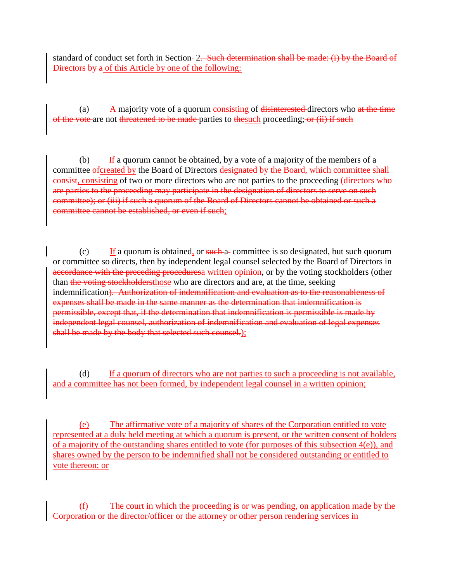standard of conduct set forth in Section-2<del>. Such determination shall be made: (i) by the Board of</del> Directors by a of this Article by one of the following:

(a)  $\Delta$  majority vote of a quorum consisting of disinterested directors who at the time of the vote are not threatened to be made parties to the such proceeding; or (ii) if such

(b) If a quorum cannot be obtained, by a vote of a majority of the members of a committee ofcreated by the Board of Directors designated by the Board, which committee shall consisting of two or more directors who are not parties to the proceeding (directors who are parties to the proceeding may participate in the designation of directors to serve on such committee); or (iii) if such a quorum of the Board of Directors cannot be obtained or such a committee cannot be established, or even if such;

 $(c)$  If a quorum is obtained, or such a committee is so designated, but such quorum or committee so directs, then by independent legal counsel selected by the Board of Directors in accordance with the preceding proceduresa written opinion, or by the voting stockholders (other than the voting stockholdersthose who are directors and are, at the time, seeking indemnification). Authorization of indemnification and evaluation as to the reasonableness of expenses shall be made in the same manner as the determination that indemnification is permissible, except that, if the determination that indemnification is permissible is made by independent legal counsel, authorization of indemnification and evaluation of legal expenses shall be made by the body that selected such counsel.);

(d) If a quorum of directors who are not parties to such a proceeding is not available, and a committee has not been formed, by independent legal counsel in a written opinion;

(e) The affirmative vote of a majority of shares of the Corporation entitled to vote represented at a duly held meeting at which a quorum is present, or the written consent of holders of a majority of the outstanding shares entitled to vote (for purposes of this subsection  $4(e)$ ), and shares owned by the person to be indemnified shall not be considered outstanding or entitled to vote thereon; or

(f) The court in which the proceeding is or was pending, on application made by the Corporation or the director/officer or the attorney or other person rendering services in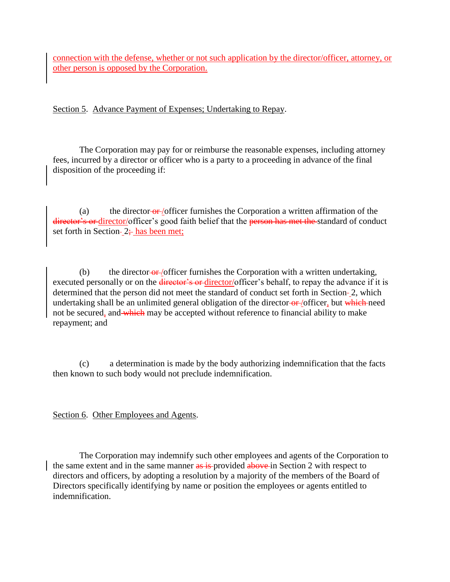connection with the defense, whether or not such application by the director/officer, attorney, or other person is opposed by the Corporation.

Section 5. Advance Payment of Expenses; Undertaking to Repay.

The Corporation may pay for or reimburse the reasonable expenses, including attorney fees, incurred by a director or officer who is a party to a proceeding in advance of the final disposition of the proceeding if:

(a) the director or /officer furnishes the Corporation a written affirmation of the director's or director/officer's good faith belief that the person has met the standard of conduct set forth in Section-  $2\div$  has been met;

(b) the director- $\theta$ - $\theta$  /officer furnishes the Corporation with a written undertaking, executed personally or on the *director's* or director/officer's behalf, to repay the advance if it is determined that the person did not meet the standard of conduct set forth in Section-2, which undertaking shall be an unlimited general obligation of the director-or-/officer, but which need not be secured, and which may be accepted without reference to financial ability to make repayment; and

(c) a determination is made by the body authorizing indemnification that the facts then known to such body would not preclude indemnification.

Section 6. Other Employees and Agents.

The Corporation may indemnify such other employees and agents of the Corporation to the same extent and in the same manner as is-provided above in Section 2 with respect to directors and officers, by adopting a resolution by a majority of the members of the Board of Directors specifically identifying by name or position the employees or agents entitled to indemnification.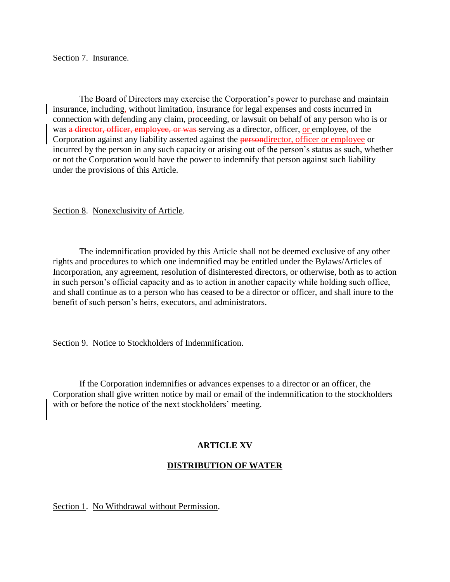#### Section 7. Insurance.

The Board of Directors may exercise the Corporation's power to purchase and maintain insurance, including, without limitation, insurance for legal expenses and costs incurred in connection with defending any claim, proceeding, or lawsuit on behalf of any person who is or was a director, officer, employee, or was serving as a director, officer, or employee, of the Corporation against any liability asserted against the persondirector, officer or employee or incurred by the person in any such capacity or arising out of the person's status as such, whether or not the Corporation would have the power to indemnify that person against such liability under the provisions of this Article.

### Section 8. Nonexclusivity of Article.

The indemnification provided by this Article shall not be deemed exclusive of any other rights and procedures to which one indemnified may be entitled under the Bylaws/Articles of Incorporation, any agreement, resolution of disinterested directors, or otherwise, both as to action in such person's official capacity and as to action in another capacity while holding such office, and shall continue as to a person who has ceased to be a director or officer, and shall inure to the benefit of such person's heirs, executors, and administrators.

Section 9. Notice to Stockholders of Indemnification.

If the Corporation indemnifies or advances expenses to a director or an officer, the Corporation shall give written notice by mail or email of the indemnification to the stockholders with or before the notice of the next stockholders' meeting.

# **ARTICLE XV**

# **DISTRIBUTION OF WATER**

Section 1. No Withdrawal without Permission.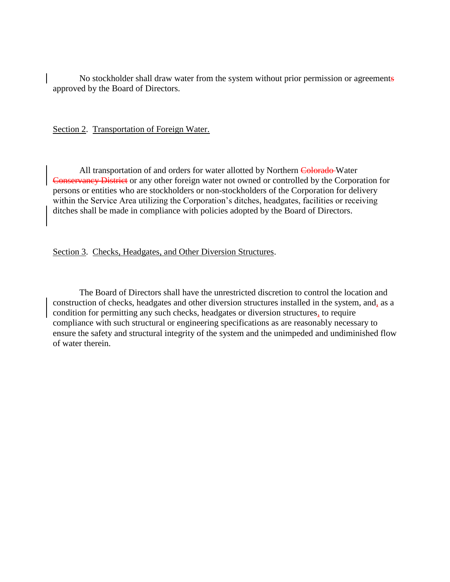No stockholder shall draw water from the system without prior permission or agreements approved by the Board of Directors.

Section 2. Transportation of Foreign Water.

All transportation of and orders for water allotted by Northern Colorado Water Conservancy District or any other foreign water not owned or controlled by the Corporation for persons or entities who are stockholders or non-stockholders of the Corporation for delivery within the Service Area utilizing the Corporation's ditches, headgates, facilities or receiving ditches shall be made in compliance with policies adopted by the Board of Directors.

Section 3. Checks, Headgates, and Other Diversion Structures.

The Board of Directors shall have the unrestricted discretion to control the location and construction of checks, headgates and other diversion structures installed in the system, and, as a condition for permitting any such checks, headgates or diversion structures, to require compliance with such structural or engineering specifications as are reasonably necessary to ensure the safety and structural integrity of the system and the unimpeded and undiminished flow of water therein.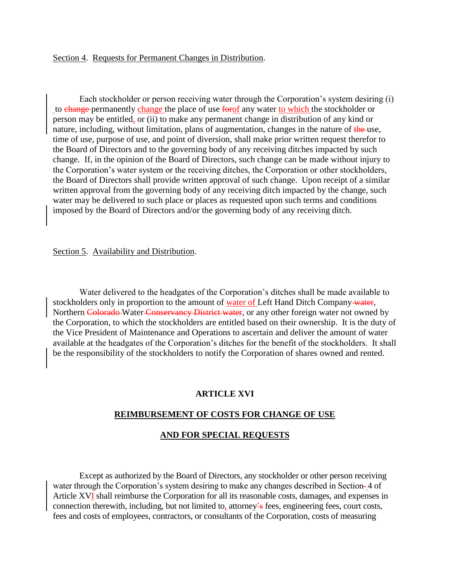Each stockholder or person receiving water through the Corporation's system desiring (i) to change permanently change the place of use forof any water to which the stockholder or person may be entitled, or (ii) to make any permanent change in distribution of any kind or nature, including, without limitation, plans of augmentation, changes in the nature of the use, time of use, purpose of use, and point of diversion, shall make prior written request therefor to the Board of Directors and to the governing body of any receiving ditches impacted by such change. If, in the opinion of the Board of Directors, such change can be made without injury to the Corporation's water system or the receiving ditches, the Corporation or other stockholders, the Board of Directors shall provide written approval of such change. Upon receipt of a similar written approval from the governing body of any receiving ditch impacted by the change, such water may be delivered to such place or places as requested upon such terms and conditions imposed by the Board of Directors and/or the governing body of any receiving ditch.

#### Section 5. Availability and Distribution.

Water delivered to the headgates of the Corporation's ditches shall be made available to stockholders only in proportion to the amount of water of Left Hand Ditch Company water, Northern Colorado Water Conservancy District water, or any other foreign water not owned by the Corporation, to which the stockholders are entitled based on their ownership. It is the duty of the Vice President of Maintenance and Operations to ascertain and deliver the amount of water available at the headgates of the Corporation's ditches for the benefit of the stockholders. It shall be the responsibility of the stockholders to notify the Corporation of shares owned and rented.

### **ARTICLE XVI**

#### **REIMBURSEMENT OF COSTS FOR CHANGE OF USE**

#### **AND FOR SPECIAL REQUESTS**

Except as authorized by the Board of Directors, any stockholder or other person receiving water through the Corporation's system desiring to make any changes described in Section-4 of Article XVI shall reimburse the Corporation for all its reasonable costs, damages, and expenses in connection therewith, including, but not limited to, attorney's fees, engineering fees, court costs, fees and costs of employees, contractors, or consultants of the Corporation, costs of measuring